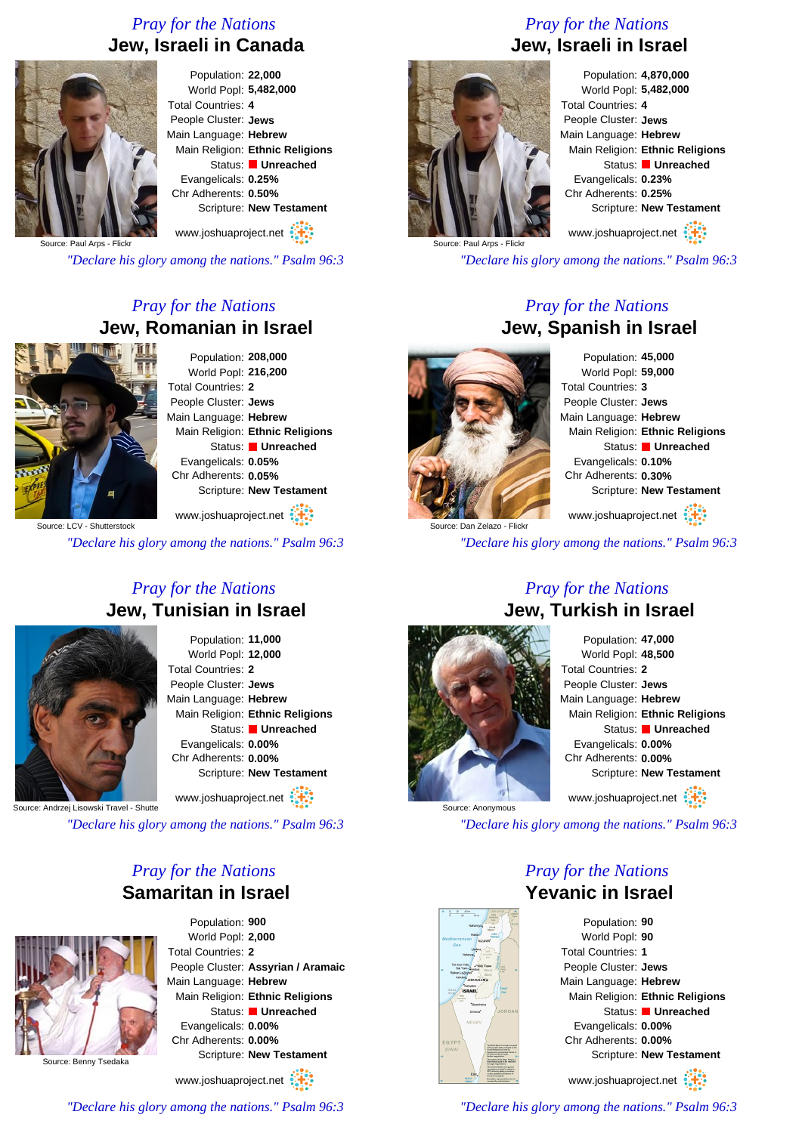## *Pray for the Nations* **Jew, Israeli in Canada**



Population: **22,000** World Popl: **5,482,000** Total Countries: **4** People Cluster: **Jews** Main Language: **Hebrew** Main Religion: **Ethnic Religions** Status: **Unreached** Evangelicals: **0.25%** Chr Adherents: **0.50%** Scripture: **New Testament** www.joshuaproject.net

Source: Paul Arps - Flick

*"Declare his glory among the nations." Psalm 96:3*

# *Pray for the Nations* **Jew, Romanian in Israel**



Population: **208,000** World Popl: **216,200** Total Countries: **2** People Cluster: **Jews** Main Language: **Hebrew** Main Religion: **Ethnic Religions** Status: **Unreached** Evangelicals: **0.05%** Chr Adherents: **0.05%** Scripture: **New Testament**

www.joshuaproject.net

Source: LCV - Shutterstock

*"Declare his glory among the nations." Psalm 96:3*

#### *Pray for the Nations* **Jew, Tunisian in Israel**



Population: **11,000** World Popl: **12,000** Total Countries: **2** People Cluster: **Jews** Main Language: **Hebrew** Main Religion: **Ethnic Religions** Status: **Unreached** Evangelicals: **0.00%** Chr Adherents: **0.00%** Scripture: **New Testament**

www.joshuaproject.net

Source: Andrzej Lisowski Travel - Shutte

*"Declare his glory among the nations." Psalm 96:3*

#### *Pray for the Nations* **Samaritan in Israel**



Population: **900** World Popl: **2,000** Total Countries: **2** People Cluster: **Assyrian / Aramaic** Main Language: **Hebrew** Main Religion: **Ethnic Religions** Status: **Unreached** Evangelicals: **0.00%** Chr Adherents: **0.00%** Scripture: **New Testament**

www.joshuaproject.net

*"Declare his glory among the nations." Psalm 96:3*

# *Pray for the Nations* **Jew, Israeli in Israel**



Population: **4,870,000** World Popl: **5,482,000** Total Countries: **4** People Cluster: **Jews** Main Language: **Hebrew** Main Religion: **Ethnic Religions** Status: **Unreached** Evangelicals: **0.23%** Chr Adherents: **0.25%** Scripture: **New Testament** www.joshuaproject.net

Source: Paul Arps - Flickr

*"Declare his glory among the nations." Psalm 96:3*

#### *Pray for the Nations* **Jew, Spanish in Israel**



Population: **45,000** World Popl: **59,000** Total Countries: **3** People Cluster: **Jews** Main Language: **Hebrew** Main Religion: **Ethnic Religions** Status: **Unreached** Evangelicals: **0.10%** Chr Adherents: **0.30%** Scripture: **New Testament** www.joshuaproject.net

*"Declare his glory among the nations." Psalm 96:3*

#### *Pray for the Nations* **Jew, Turkish in Israel**



Population: **47,000** World Popl: **48,500** Total Countries: **2** People Cluster: **Jews** Main Language: **Hebrew** Main Religion: **Ethnic Religions** Status: **Unreached** Evangelicals: **0.00%** Chr Adherents: **0.00%** Scripture: **New Testament** www.joshuaproject.net

*"Declare his glory among the nations." Psalm 96:3*

*Pray for the Nations*

# **Yevanic in Israel**

Population: **90** World Popl: **90** Total Countries: **1** People Cluster: **Jews** Main Language: **Hebrew** Main Religion: **Ethnic Religions** Status: **Unreached** Evangelicals: **0.00%** Chr Adherents: **0.00%** Scripture: **New Testament** www.joshuaproject.net

*"Declare his glory among the nations." Psalm 96:3*